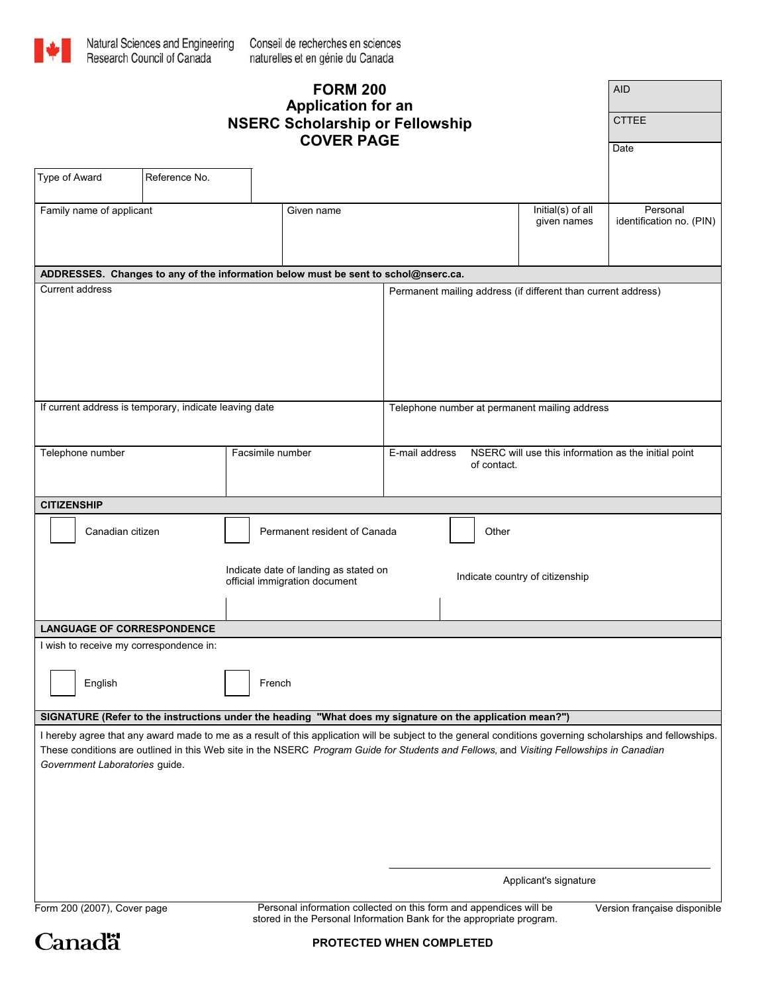

| <b>FORM 200</b><br><b>Application for an</b>                                                                                                                               |                                                                        |                                                               |  |                                                                                       |                                  | <b>AID</b>                           |                                                                                                                                                            |  |
|----------------------------------------------------------------------------------------------------------------------------------------------------------------------------|------------------------------------------------------------------------|---------------------------------------------------------------|--|---------------------------------------------------------------------------------------|----------------------------------|--------------------------------------|------------------------------------------------------------------------------------------------------------------------------------------------------------|--|
| <b>NSERC Scholarship or Fellowship</b><br><b>COVER PAGE</b>                                                                                                                |                                                                        |                                                               |  |                                                                                       |                                  |                                      | <b>CTTEE</b>                                                                                                                                               |  |
|                                                                                                                                                                            |                                                                        | Date                                                          |  |                                                                                       |                                  |                                      |                                                                                                                                                            |  |
| Type of Award                                                                                                                                                              | Reference No.                                                          |                                                               |  |                                                                                       |                                  |                                      |                                                                                                                                                            |  |
| Family name of applicant<br>Given name                                                                                                                                     |                                                                        |                                                               |  |                                                                                       | Initial(s) of all<br>given names | Personal<br>identification no. (PIN) |                                                                                                                                                            |  |
|                                                                                                                                                                            |                                                                        |                                                               |  |                                                                                       |                                  |                                      |                                                                                                                                                            |  |
| ADDRESSES. Changes to any of the information below must be sent to schol@nserc.ca.                                                                                         |                                                                        |                                                               |  |                                                                                       |                                  |                                      |                                                                                                                                                            |  |
| <b>Current address</b>                                                                                                                                                     |                                                                        | Permanent mailing address (if different than current address) |  |                                                                                       |                                  |                                      |                                                                                                                                                            |  |
| If current address is temporary, indicate leaving date                                                                                                                     |                                                                        |                                                               |  | Telephone number at permanent mailing address                                         |                                  |                                      |                                                                                                                                                            |  |
| Telephone number<br>Facsimile number                                                                                                                                       |                                                                        |                                                               |  | E-mail address<br>NSERC will use this information as the initial point<br>of contact. |                                  |                                      |                                                                                                                                                            |  |
| <b>CITIZENSHIP</b>                                                                                                                                                         |                                                                        |                                                               |  |                                                                                       |                                  |                                      |                                                                                                                                                            |  |
| Canadian citizen<br>Permanent resident of Canada                                                                                                                           |                                                                        |                                                               |  |                                                                                       | Other                            |                                      |                                                                                                                                                            |  |
|                                                                                                                                                                            | Indicate date of landing as stated on<br>official immigration document |                                                               |  | Indicate country of citizenship                                                       |                                  |                                      |                                                                                                                                                            |  |
| <b>LANGUAGE OF CORRESPONDENCE</b>                                                                                                                                          |                                                                        |                                                               |  |                                                                                       |                                  |                                      |                                                                                                                                                            |  |
| I wish to receive my correspondence in:                                                                                                                                    |                                                                        |                                                               |  |                                                                                       |                                  |                                      |                                                                                                                                                            |  |
| English<br>French                                                                                                                                                          |                                                                        |                                                               |  |                                                                                       |                                  |                                      |                                                                                                                                                            |  |
| SIGNATURE (Refer to the instructions under the heading "What does my signature on the application mean?")                                                                  |                                                                        |                                                               |  |                                                                                       |                                  |                                      |                                                                                                                                                            |  |
| These conditions are outlined in this Web site in the NSERC Program Guide for Students and Fellows, and Visiting Fellowships in Canadian<br>Government Laboratories guide. |                                                                        |                                                               |  |                                                                                       |                                  |                                      | I hereby agree that any award made to me as a result of this application will be subject to the general conditions governing scholarships and fellowships. |  |
| Applicant's signature                                                                                                                                                      |                                                                        |                                                               |  |                                                                                       |                                  |                                      |                                                                                                                                                            |  |

Version française disponible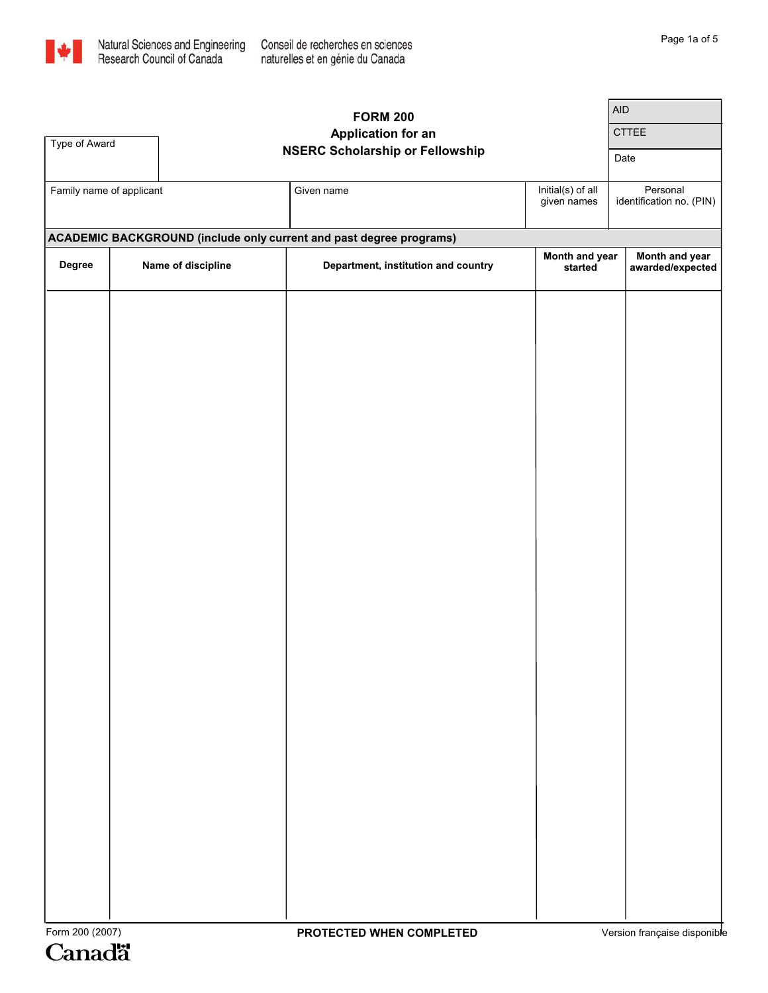

|                          | <b>AID</b> |                    |                                                                            |                                  |                                      |
|--------------------------|------------|--------------------|----------------------------------------------------------------------------|----------------------------------|--------------------------------------|
|                          |            |                    | <b>FORM 200</b><br><b>Application for an</b>                               |                                  | CTTEE                                |
| Type of Award            |            |                    | <b>NSERC Scholarship or Fellowship</b>                                     | Date                             |                                      |
|                          |            |                    |                                                                            |                                  |                                      |
| Family name of applicant |            |                    | Given name                                                                 | Initial(s) of all<br>given names | Personal<br>identification no. (PIN) |
|                          |            |                    | <b>ACADEMIC BACKGROUND (include only current and past degree programs)</b> |                                  |                                      |
| Degree                   |            | Name of discipline | Department, institution and country                                        | Month and year<br>started        | Month and year<br>awarded/expected   |
|                          |            |                    |                                                                            |                                  |                                      |
|                          |            |                    |                                                                            |                                  |                                      |
|                          |            |                    |                                                                            |                                  |                                      |
|                          |            |                    |                                                                            |                                  |                                      |
|                          |            |                    |                                                                            |                                  |                                      |
|                          |            |                    |                                                                            |                                  |                                      |
|                          |            |                    |                                                                            |                                  |                                      |
|                          |            |                    |                                                                            |                                  |                                      |
|                          |            |                    |                                                                            |                                  |                                      |
|                          |            |                    |                                                                            |                                  |                                      |
|                          |            |                    |                                                                            |                                  |                                      |
|                          |            |                    |                                                                            |                                  |                                      |
|                          |            |                    |                                                                            |                                  |                                      |
|                          |            |                    |                                                                            |                                  |                                      |
|                          |            |                    |                                                                            |                                  |                                      |
|                          |            |                    |                                                                            |                                  |                                      |
|                          |            |                    |                                                                            |                                  |                                      |
|                          |            |                    |                                                                            |                                  |                                      |
|                          |            |                    |                                                                            |                                  |                                      |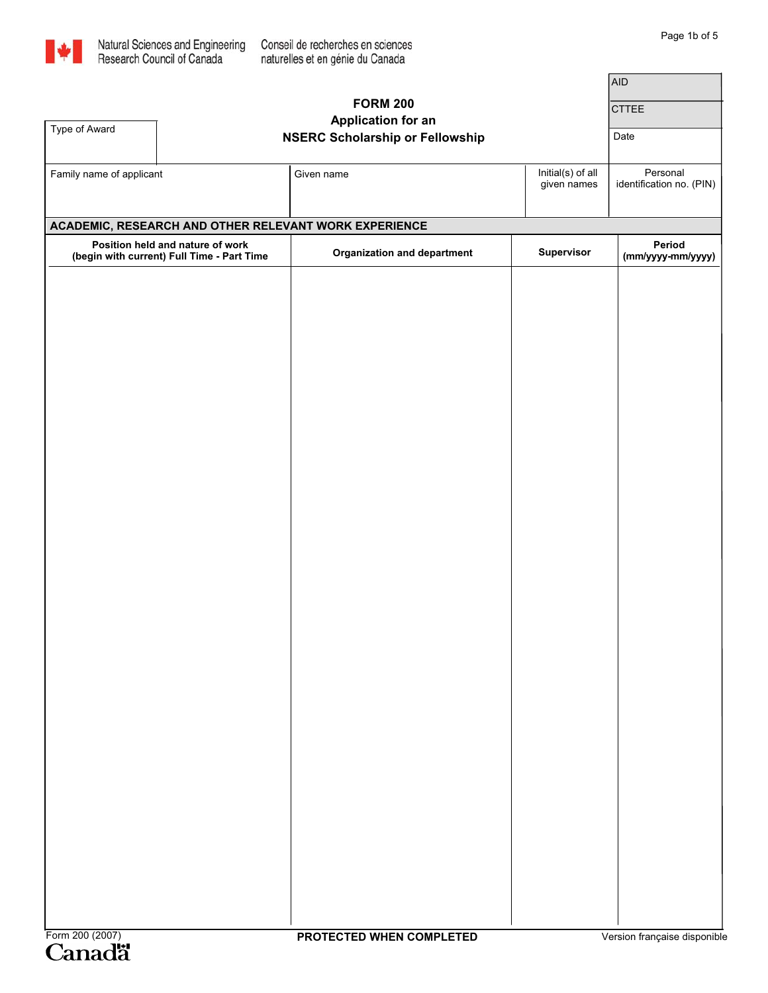

┑

|                                                                                | <b>AID</b> |                                        |                                  |                                      |
|--------------------------------------------------------------------------------|------------|----------------------------------------|----------------------------------|--------------------------------------|
|                                                                                |            | <b>FORM 200</b>                        | <b>CTTEE</b>                     |                                      |
| Type of Award                                                                  |            | <b>Application for an</b>              |                                  |                                      |
|                                                                                |            | <b>NSERC Scholarship or Fellowship</b> | Date                             |                                      |
| Family name of applicant                                                       |            | Given name                             | Initial(s) of all<br>given names | Personal<br>identification no. (PIN) |
| ACADEMIC, RESEARCH AND OTHER RELEVANT WORK EXPERIENCE                          |            |                                        |                                  |                                      |
| Position held and nature of work<br>(begin with current) Full Time - Part Time |            | <b>Organization and department</b>     | Supervisor                       | Period<br>(mm/yyyy-mm/yyyy)          |
|                                                                                |            |                                        |                                  |                                      |
|                                                                                |            |                                        |                                  |                                      |
|                                                                                |            |                                        |                                  |                                      |
|                                                                                |            |                                        |                                  |                                      |
|                                                                                |            |                                        |                                  |                                      |
|                                                                                |            |                                        |                                  |                                      |
|                                                                                |            |                                        |                                  |                                      |
|                                                                                |            |                                        |                                  |                                      |
|                                                                                |            |                                        |                                  |                                      |
|                                                                                |            |                                        |                                  |                                      |
|                                                                                |            |                                        |                                  |                                      |
|                                                                                |            |                                        |                                  |                                      |
|                                                                                |            |                                        |                                  |                                      |
|                                                                                |            |                                        |                                  |                                      |
|                                                                                |            |                                        |                                  |                                      |
|                                                                                |            |                                        |                                  |                                      |
|                                                                                |            |                                        |                                  |                                      |
|                                                                                |            |                                        |                                  |                                      |
|                                                                                |            |                                        |                                  |                                      |
|                                                                                |            |                                        |                                  |                                      |
|                                                                                |            |                                        |                                  |                                      |
|                                                                                |            |                                        |                                  |                                      |
|                                                                                |            |                                        |                                  |                                      |
|                                                                                |            |                                        |                                  |                                      |
|                                                                                |            |                                        |                                  |                                      |
|                                                                                |            |                                        |                                  |                                      |
|                                                                                |            |                                        |                                  |                                      |
|                                                                                |            |                                        |                                  |                                      |
|                                                                                |            |                                        |                                  |                                      |
| Form 200 (2007)                                                                |            | PROTECTED WHEN COMPLETED               |                                  | Version française disponible         |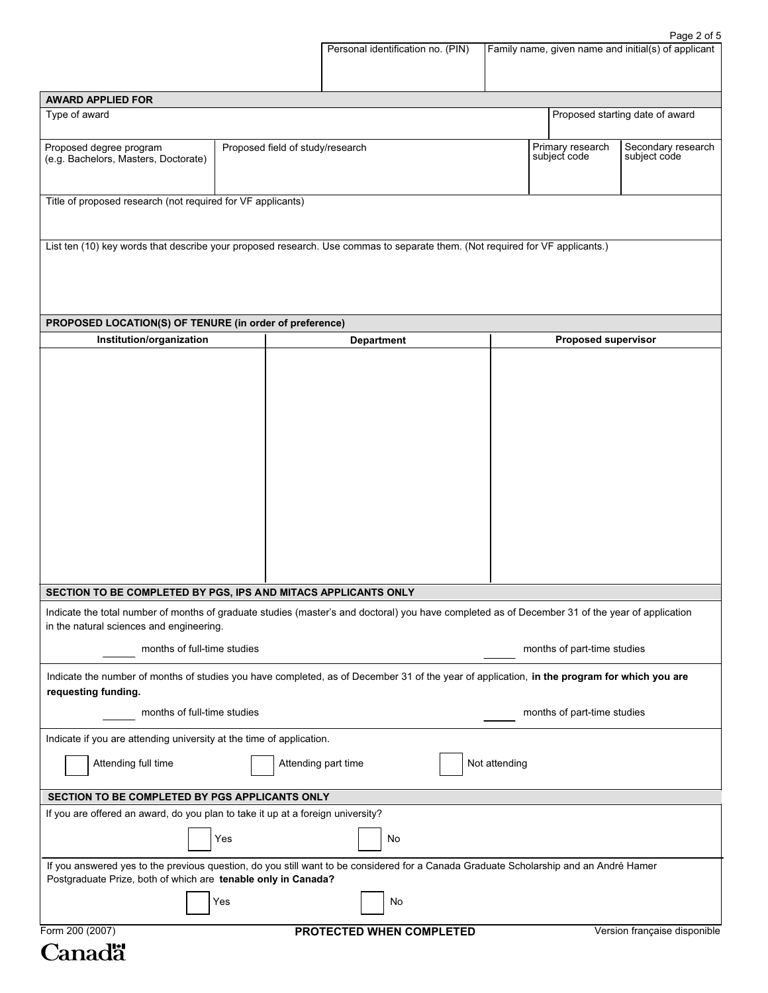|                                                                                                                                                                                                        |                                  | Personal identification no. (PIN)  | Family name, given name and initial(s) of applicant |                                 |
|--------------------------------------------------------------------------------------------------------------------------------------------------------------------------------------------------------|----------------------------------|------------------------------------|-----------------------------------------------------|---------------------------------|
| <b>AWARD APPLIED FOR</b>                                                                                                                                                                               |                                  |                                    |                                                     |                                 |
| Type of award                                                                                                                                                                                          |                                  |                                    |                                                     | Proposed starting date of award |
| Proposed degree program<br>(e.g. Bachelors, Masters, Doctorate)                                                                                                                                        | Primary research<br>subject code | Secondary research<br>subject code |                                                     |                                 |
| Title of proposed research (not required for VF applicants)                                                                                                                                            |                                  |                                    |                                                     |                                 |
|                                                                                                                                                                                                        |                                  |                                    |                                                     |                                 |
| List ten (10) key words that describe your proposed research. Use commas to separate them. (Not required for VF applicants.)                                                                           |                                  |                                    |                                                     |                                 |
| PROPOSED LOCATION(S) OF TENURE (in order of preference)                                                                                                                                                |                                  |                                    |                                                     |                                 |
| Institution/organization                                                                                                                                                                               |                                  | <b>Department</b>                  | <b>Proposed supervisor</b>                          |                                 |
| SECTION TO BE COMPLETED BY PGS, IPS AND MITACS APPLICANTS ONLY                                                                                                                                         |                                  |                                    |                                                     |                                 |
| Indicate the total number of months of graduate studies (master's and doctoral) you have completed as of December 31 of the year of application                                                        |                                  |                                    |                                                     |                                 |
| in the natural sciences and engineering.<br>months of full-time studies                                                                                                                                |                                  |                                    | months of part-time studies                         |                                 |
| Indicate the number of months of studies you have completed, as of December 31 of the year of application, in the program for which you are<br>requesting funding.                                     |                                  |                                    |                                                     |                                 |
| months of full-time studies                                                                                                                                                                            |                                  |                                    | months of part-time studies                         |                                 |
| Indicate if you are attending university at the time of application.                                                                                                                                   |                                  |                                    |                                                     |                                 |
| Attending full time                                                                                                                                                                                    |                                  | Attending part time                | Not attending                                       |                                 |
| SECTION TO BE COMPLETED BY PGS APPLICANTS ONLY                                                                                                                                                         |                                  |                                    |                                                     |                                 |
| If you are offered an award, do you plan to take it up at a foreign university?                                                                                                                        | Yes                              | No                                 |                                                     |                                 |
| If you answered yes to the previous question, do you still want to be considered for a Canada Graduate Scholarship and an André Hamer<br>Postgraduate Prize, both of which are tenable only in Canada? |                                  |                                    |                                                     |                                 |
|                                                                                                                                                                                                        | Yes                              | No                                 |                                                     |                                 |
| Form 200 (2007)                                                                                                                                                                                        |                                  | PROTECTED WHEN COMPLETED           |                                                     | Version française disponible    |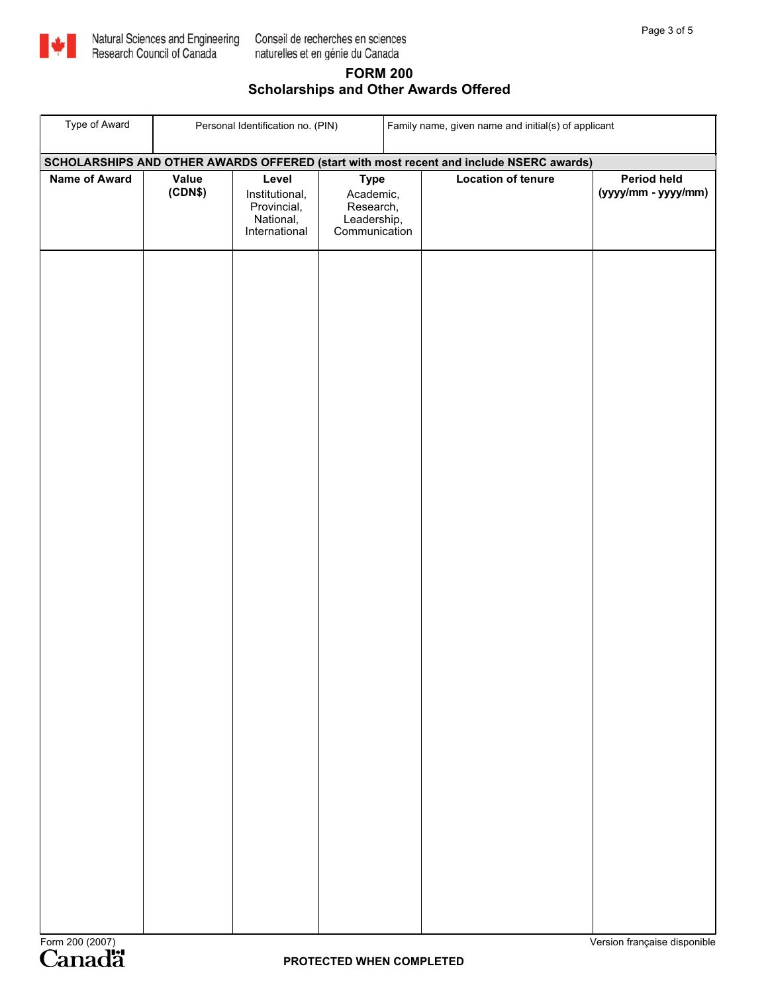

## **FORM 200 Scholarships and Other Awards Offered**

| Type of Award                                                                           | Personal Identification no. (PIN) |                                                     | Family name, given name and initial(s) of applicant  |  |                           |                                    |  |
|-----------------------------------------------------------------------------------------|-----------------------------------|-----------------------------------------------------|------------------------------------------------------|--|---------------------------|------------------------------------|--|
| SCHOLARSHIPS AND OTHER AWARDS OFFERED (start with most recent and include NSERC awards) |                                   |                                                     |                                                      |  |                           |                                    |  |
| <b>Name of Award</b>                                                                    | <b>Value</b><br>(CDN\$)           | Level<br>Institutional,<br>Provincial,<br>National, | <b>Type</b><br>Academic,<br>Research,<br>Leadership, |  | <b>Location of tenure</b> | Period held<br>(yyyy/mm - yyyy/mm) |  |
|                                                                                         |                                   | International                                       | Communication                                        |  |                           |                                    |  |
| Form 200 (2007)                                                                         |                                   |                                                     | PROTECTED WHEN COMPLETED                             |  |                           | Version française disponible       |  |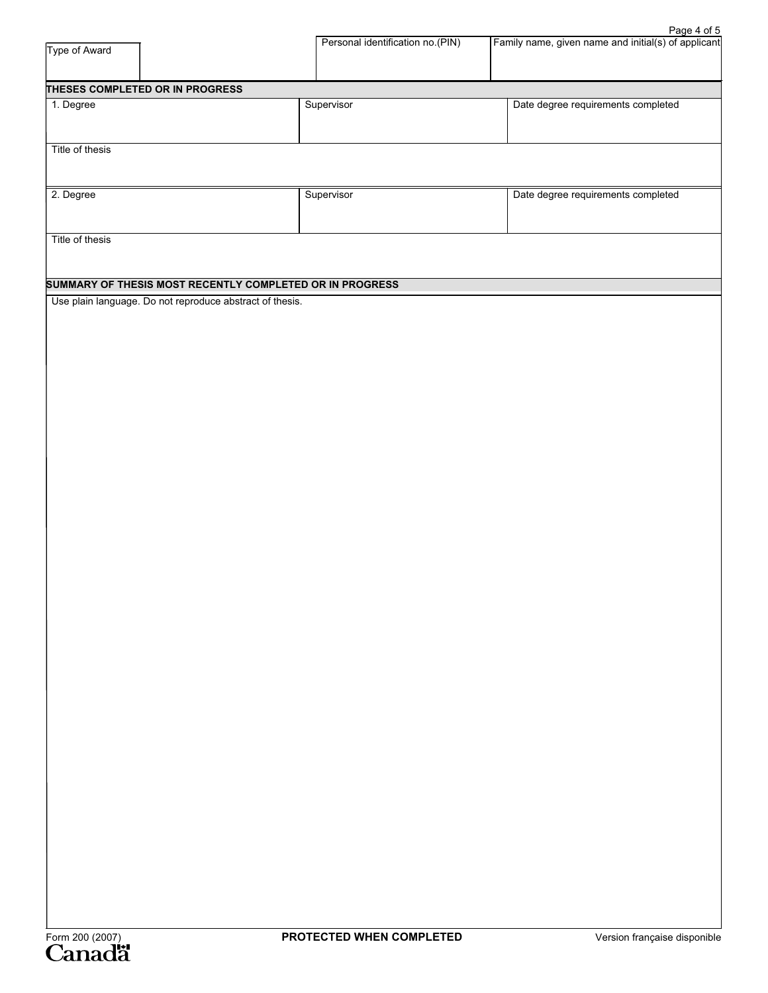| Type of Award                                            | Personal identification no.(PIN) | Family name, given name and initial(s) of applicant |
|----------------------------------------------------------|----------------------------------|-----------------------------------------------------|
| THESES COMPLETED OR IN PROGRESS                          |                                  |                                                     |
| 1. Degree                                                | Supervisor                       | Date degree requirements completed                  |
|                                                          |                                  |                                                     |
| Title of thesis                                          |                                  |                                                     |
|                                                          |                                  |                                                     |
| 2. Degree                                                | Supervisor                       | Date degree requirements completed                  |
|                                                          |                                  |                                                     |
| Title of thesis                                          |                                  |                                                     |
|                                                          |                                  |                                                     |
| SUMMARY OF THESIS MOST RECENTLY COMPLETED OR IN PROGRESS |                                  |                                                     |
| Use plain language. Do not reproduce abstract of thesis. |                                  |                                                     |
|                                                          |                                  |                                                     |
|                                                          |                                  |                                                     |
|                                                          |                                  |                                                     |
|                                                          |                                  |                                                     |
|                                                          |                                  |                                                     |
|                                                          |                                  |                                                     |
|                                                          |                                  |                                                     |
|                                                          |                                  |                                                     |
|                                                          |                                  |                                                     |
|                                                          |                                  |                                                     |
|                                                          |                                  |                                                     |
|                                                          |                                  |                                                     |
|                                                          |                                  |                                                     |
|                                                          |                                  |                                                     |
|                                                          |                                  |                                                     |
|                                                          |                                  |                                                     |
|                                                          |                                  |                                                     |
|                                                          |                                  |                                                     |
|                                                          |                                  |                                                     |
|                                                          |                                  |                                                     |
|                                                          |                                  |                                                     |
|                                                          |                                  |                                                     |
|                                                          |                                  |                                                     |
|                                                          |                                  |                                                     |
|                                                          |                                  |                                                     |
|                                                          |                                  |                                                     |
|                                                          |                                  |                                                     |
|                                                          |                                  |                                                     |
|                                                          |                                  |                                                     |
|                                                          |                                  |                                                     |
|                                                          | PROTECTED WHEN COMPLETED         | Version française disponible                        |
| Form 200 (2007)<br><b>Canadä</b>                         |                                  |                                                     |

Page 4 of 5